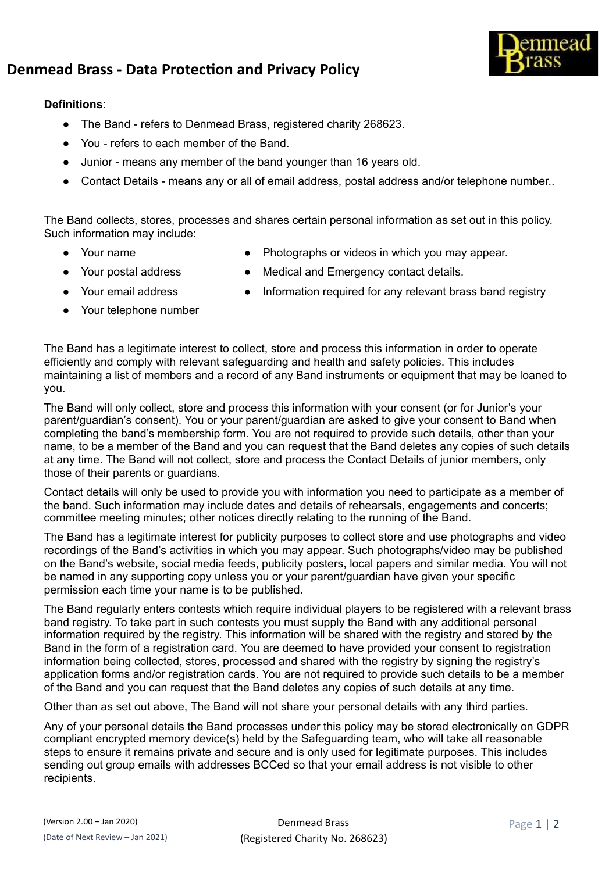

## **Denmead Brass - Data Protecon and Privacy Policy**

## **Definitions**:

- The Band refers to Denmead Brass, registered charity 268623.
- You refers to each member of the Band.
- Junior means any member of the band younger than 16 years old.
- Contact Details means any or all of email address, postal address and/or telephone number..

The Band collects, stores, processes and shares certain personal information as set out in this policy. Such information may include:

- 
- Your name Photographs or videos in which you may appear.
- Your postal address Medical and Emergency contact details.
- 
- Your telephone number
- Your email address Information required for any relevant brass band registry

The Band has a legitimate interest to collect, store and process this information in order to operate efficiently and comply with relevant safeguarding and health and safety policies. This includes maintaining a list of members and a record of any Band instruments or equipment that may be loaned to you.

The Band will only collect, store and process this information with your consent (or for Junior's your parent/guardian's consent). You or your parent/guardian are asked to give your consent to Band when completing the band's membership form. You are not required to provide such details, other than your name, to be a member of the Band and you can request that the Band deletes any copies of such details at any time. The Band will not collect, store and process the Contact Details of junior members, only those of their parents or guardians.

Contact details will only be used to provide you with information you need to participate as a member of the band. Such information may include dates and details of rehearsals, engagements and concerts; committee meeting minutes; other notices directly relating to the running of the Band.

The Band has a legitimate interest for publicity purposes to collect store and use photographs and video recordings of the Band's activities in which you may appear. Such photographs/video may be published on the Band's website, social media feeds, publicity posters, local papers and similar media. You will not be named in any supporting copy unless you or your parent/guardian have given your specific permission each time your name is to be published.

The Band regularly enters contests which require individual players to be registered with a relevant brass band registry. To take part in such contests you must supply the Band with any additional personal information required by the registry. This information will be shared with the registry and stored by the Band in the form of a registration card. You are deemed to have provided your consent to registration information being collected, stores, processed and shared with the registry by signing the registry's application forms and/or registration cards. You are not required to provide such details to be a member of the Band and you can request that the Band deletes any copies of such details at any time.

Other than as set out above, The Band will not share your personal details with any third parties.

Any of your personal details the Band processes under this policy may be stored electronically on GDPR compliant encrypted memory device(s) held by the Safeguarding team, who will take all reasonable steps to ensure it remains private and secure and is only used for legitimate purposes. This includes sending out group emails with addresses BCCed so that your email address is not visible to other recipients.